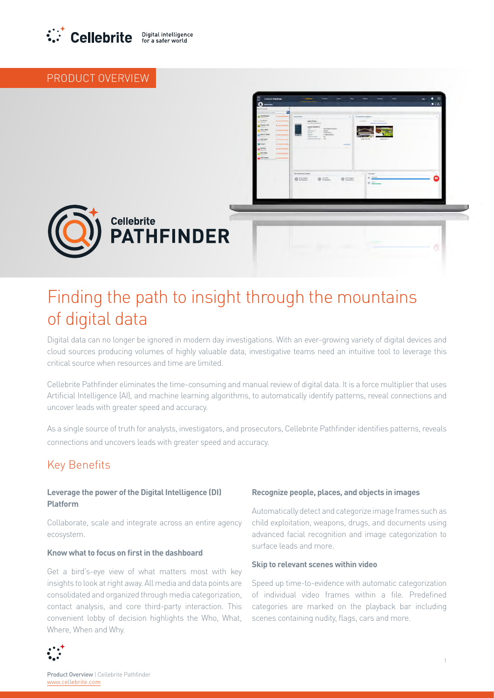

# PRODUCT OVERVIEW



# Finding the path to insight through the mountains of digital data

Digital data can no longer be ignored in modern day investigations. With an ever-growing variety of digital devices and cloud sources producing volumes of highly valuable data, investigative teams need an intuitive tool to leverage this critical source when resources and time are limited.

Cellebrite Pathfinder eliminates the time-consuming and manual review of digital data. It is a force multiplier that uses Artificial Intelligence (AI), and machine learning algorithms, to automatically identify patterns, reveal connections and uncover leads with greater speed and accuracy.

As a single source of truth for analysts, investigators, and prosecutors, Cellebrite Pathfinder identifies patterns, reveals connections and uncovers leads with greater speed and accuracy.

# **Key Benefits**

# **Leverage the power of the Digital Intelligence (DI) Platform**

Collaborate, scale and integrate across an entire agency .ecosystem

# **Know what to focus on first in the dashboard**

Get a bird's-eve view of what matters most with key insights to look at right away. All media and data points are consolidated and organized through media categorization. contact analysis, and core third-party interaction. This convenient lobby of decision highlights the Who, What, Where, When and Why.

## Recognize people, places, and objects in images

Automatically detect and categorize image frames such as child exploitation, weapons, drugs, and documents using advanced facial recognition and image categorization to surface leads and more.

#### **Skip to relevant scenes within video**

Speed up time-to-evidence with automatic categorization of individual video frames within a file. Predefined categories are marked on the playback bar including scenes containing nudity, flags, cars and more.